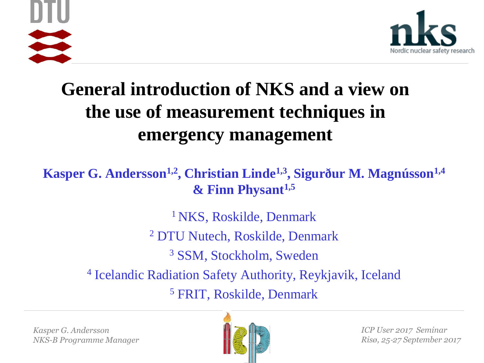



# **General introduction of NKS and a view on the use of measurement techniques in emergency management**

**Kasper G. Andersson1,2, Christian Linde1,3, Sigurður M. Magnússon1,4 & Finn Physant1,5**

> <sup>1</sup> NKS, Roskilde, Denmark DTU Nutech, Roskilde, Denmark SSM, Stockholm, Sweden Icelandic Radiation Safety Authority, Reykjavik, Iceland FRIT, Roskilde, Denmark

*Kasper G. Andersson NKS-B Programme Manager*



*ICP User 2017 Seminar Risø, 25*‐*27 September 2017*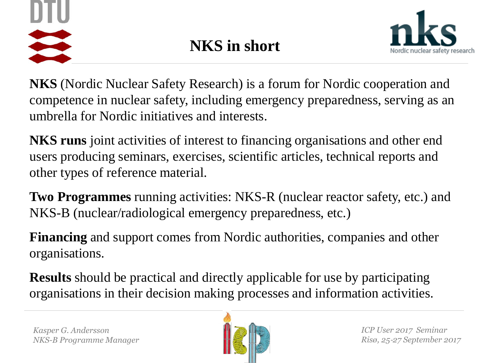



**NKS** (Nordic Nuclear Safety Research) is a forum for Nordic cooperation and competence in nuclear safety, including emergency preparedness, serving as an umbrella for Nordic initiatives and interests.

**NKS runs** joint activities of interest to financing organisations and other end users producing seminars, exercises, scientific articles, technical reports and other types of reference material.

**Two Programmes** running activities: NKS-R (nuclear reactor safety, etc.) and NKS-B (nuclear/radiological emergency preparedness, etc.)

**Financing** and support comes from Nordic authorities, companies and other organisations.

**Results** should be practical and directly applicable for use by participating organisations in their decision making processes and information activities.

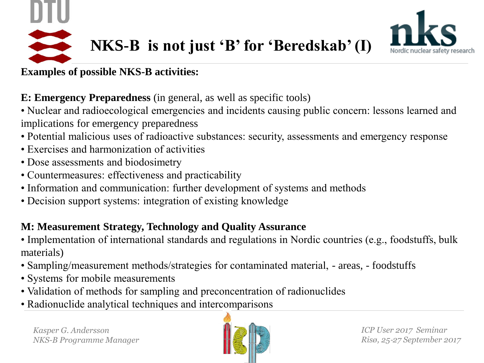



### **Examples of possible NKS-B activities:**

**E: Emergency Preparedness** (in general, as well as specific tools)

• Nuclear and radioecological emergencies and incidents causing public concern: lessons learned and implications for emergency preparedness

- Potential malicious uses of radioactive substances: security, assessments and emergency response
- Exercises and harmonization of activities
- Dose assessments and biodosimetry
- Countermeasures: effectiveness and practicability
- Information and communication: further development of systems and methods
- Decision support systems: integration of existing knowledge

## **M: Measurement Strategy, Technology and Quality Assurance**

• Implementation of international standards and regulations in Nordic countries (e.g., foodstuffs, bulk materials)

- Sampling/measurement methods/strategies for contaminated material, areas, foodstuffs
- Systems for mobile measurements
- Validation of methods for sampling and preconcentration of radionuclides
- Radionuclide analytical techniques and intercomparisons

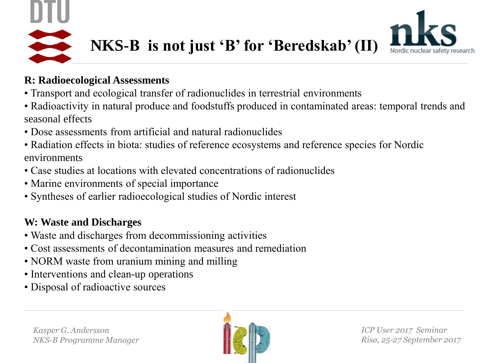



#### **R: Radioecological Assessments**

- Transport and ecological transfer of radionuclides in terrestrial environments
- Radioactivity in natural produce and foodstuffs produced in contaminated areas: temporal trends and seasonal effects
- Dose assessments from artificial and natural radionuclides
- Radiation effects in biota: studies of reference ecosystems and reference species for Nordic environments
- Case studies at locations with elevated concentrations of radionuclides
- Marine environments of special importance
- Syntheses of earlier radioecological studies of Nordic interest

## **W: Waste and Discharges**

- Waste and discharges from decommissioning activities
- Cost assessments of decontamination measures and remediation
- NORM waste from uranium mining and milling
- Interventions and clean-up operations
- Disposal of radioactive sources

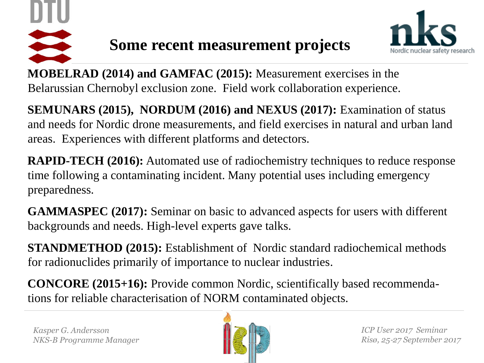



**MOBELRAD (2014) and GAMFAC (2015):** Measurement exercises in the Belarussian Chernobyl exclusion zone. Field work collaboration experience.

**SEMUNARS (2015), NORDUM (2016) and NEXUS (2017):** Examination of status and needs for Nordic drone measurements, and field exercises in natural and urban land areas. Experiences with different platforms and detectors.

**RAPID-TECH (2016):** Automated use of radiochemistry techniques to reduce response time following a contaminating incident. Many potential uses including emergency preparedness.

**GAMMASPEC (2017):** Seminar on basic to advanced aspects for users with different backgrounds and needs. High-level experts gave talks.

**STANDMETHOD (2015):** Establishment of Nordic standard radiochemical methods for radionuclides primarily of importance to nuclear industries.

**CONCORE (2015+16):** Provide common Nordic, scientifically based recommendations for reliable characterisation of NORM contaminated objects.

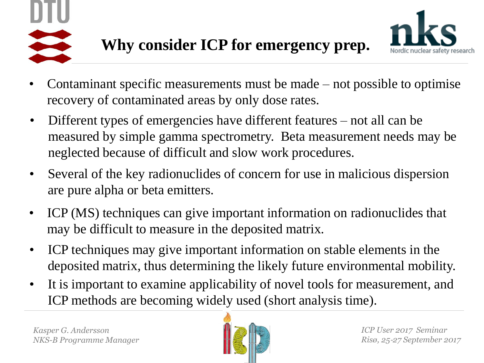



- Contaminant specific measurements must be made not possible to optimise recovery of contaminated areas by only dose rates.
- Different types of emergencies have different features not all can be measured by simple gamma spectrometry. Beta measurement needs may be neglected because of difficult and slow work procedures.
- Several of the key radionuclides of concern for use in malicious dispersion are pure alpha or beta emitters.
- ICP (MS) techniques can give important information on radionuclides that may be difficult to measure in the deposited matrix.
- ICP techniques may give important information on stable elements in the deposited matrix, thus determining the likely future environmental mobility.
- It is important to examine applicability of novel tools for measurement, and ICP methods are becoming widely used (short analysis time).